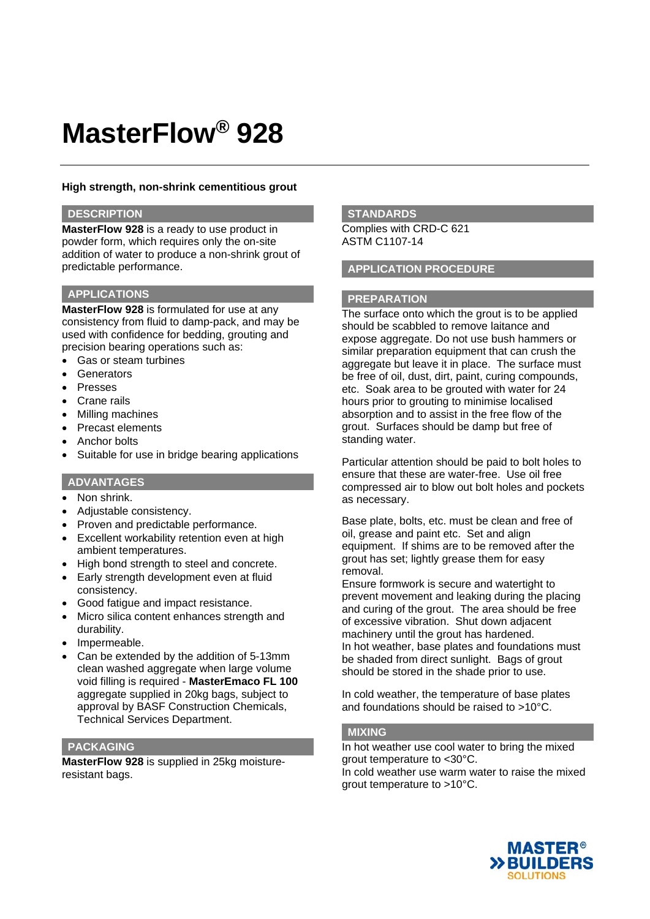## **High strength, non-shrink cementitious grout**

## **DESCRIPTION**

**MasterFlow 928** is a ready to use product in powder form, which requires only the on-site addition of water to produce a non-shrink grout of predictable performance.

#### **APPLICATIONS**

**MasterFlow 928** is formulated for use at any consistency from fluid to damp-pack, and may be used with confidence for bedding, grouting and precision bearing operations such as:

- Gas or steam turbines
- **Generators**
- Presses
- Crane rails
- Milling machines
- Precast elements
- Anchor bolts
- Suitable for use in bridge bearing applications

#### **ADVANTAGES**

- Non shrink.
- Adjustable consistency.
- Proven and predictable performance.
- Excellent workability retention even at high ambient temperatures.
- High bond strength to steel and concrete.
- Early strength development even at fluid consistency.
- Good fatigue and impact resistance.
- Micro silica content enhances strength and durability.
- Impermeable.
- Can be extended by the addition of 5-13mm clean washed aggregate when large volume void filling is required - **MasterEmaco FL 100** aggregate supplied in 20kg bags, subject to approval by BASF Construction Chemicals, Technical Services Department.

## **PACKAGING**

**MasterFlow 928** is supplied in 25kg moistureresistant bags.

#### **STANDARDS**

Complies with CRD-C 621 ASTM C1107-14

## **APPLICATION PROCEDURE**

#### **PREPARATION**

The surface onto which the grout is to be applied should be scabbled to remove laitance and expose aggregate. Do not use bush hammers or similar preparation equipment that can crush the aggregate but leave it in place. The surface must be free of oil, dust, dirt, paint, curing compounds, etc. Soak area to be grouted with water for 24 hours prior to grouting to minimise localised absorption and to assist in the free flow of the grout. Surfaces should be damp but free of standing water.

Particular attention should be paid to bolt holes to ensure that these are water-free. Use oil free compressed air to blow out bolt holes and pockets as necessary.

Base plate, bolts, etc. must be clean and free of oil, grease and paint etc. Set and align equipment. If shims are to be removed after the grout has set; lightly grease them for easy removal.

Ensure formwork is secure and watertight to prevent movement and leaking during the placing and curing of the grout. The area should be free of excessive vibration. Shut down adjacent machinery until the grout has hardened. In hot weather, base plates and foundations must be shaded from direct sunlight. Bags of grout should be stored in the shade prior to use.

In cold weather, the temperature of base plates and foundations should be raised to >10°C.

#### **MIXING**

In hot weather use cool water to bring the mixed grout temperature to <30°C. In cold weather use warm water to raise the mixed grout temperature to >10°C.

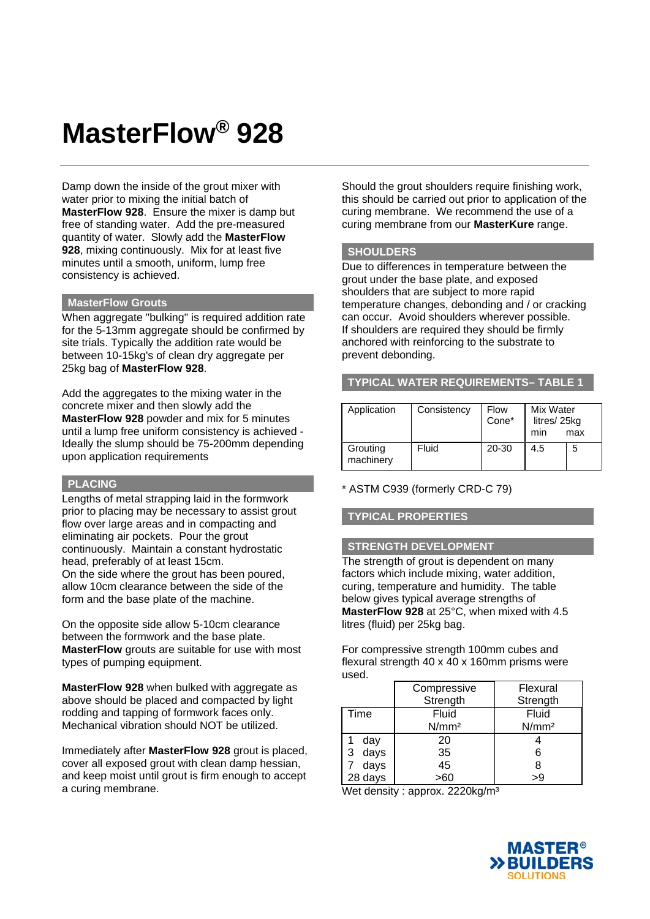Damp down the inside of the grout mixer with water prior to mixing the initial batch of **MasterFlow 928**. Ensure the mixer is damp but free of standing water. Add the pre-measured quantity of water. Slowly add the **MasterFlow 928**, mixing continuously. Mix for at least five minutes until a smooth, uniform, lump free consistency is achieved.

#### **MasterFlow Grouts**

When aggregate "bulking" is required addition rate for the 5-13mm aggregate should be confirmed by site trials. Typically the addition rate would be between 10-15kg's of clean dry aggregate per 25kg bag of **MasterFlow 928**.

Add the aggregates to the mixing water in the concrete mixer and then slowly add the **MasterFlow 928** powder and mix for 5 minutes until a lump free uniform consistency is achieved - Ideally the slump should be 75-200mm depending upon application requirements

## **PLACING**

Lengths of metal strapping laid in the formwork prior to placing may be necessary to assist grout flow over large areas and in compacting and eliminating air pockets. Pour the grout continuously. Maintain a constant hydrostatic head, preferably of at least 15cm. On the side where the grout has been poured, allow 10cm clearance between the side of the form and the base plate of the machine.

On the opposite side allow 5-10cm clearance between the formwork and the base plate. **MasterFlow** grouts are suitable for use with most types of pumping equipment.

**MasterFlow 928** when bulked with aggregate as above should be placed and compacted by light rodding and tapping of formwork faces only. Mechanical vibration should NOT be utilized.

Immediately after **MasterFlow 928** grout is placed, cover all exposed grout with clean damp hessian, and keep moist until grout is firm enough to accept a curing membrane.

Should the grout shoulders require finishing work, this should be carried out prior to application of the curing membrane. We recommend the use of a curing membrane from our **MasterKure** range.

## **SHOULDERS**

Due to differences in temperature between the grout under the base plate, and exposed shoulders that are subject to more rapid temperature changes, debonding and / or cracking can occur. Avoid shoulders wherever possible. If shoulders are required they should be firmly anchored with reinforcing to the substrate to prevent debonding.

**TYPICAL WATER REQUIREMENTS– TABLE 1**

| Application           | Consistency | Flow<br>Cone* | Mix Water<br>litres/25kg<br>min | max |
|-----------------------|-------------|---------------|---------------------------------|-----|
| Grouting<br>machinery | Fluid       | 20-30         | 4.5                             | 5   |

\* ASTM C939 (formerly CRD-C 79)

## **TYPICAL PROPERTIES**

#### **STRENGTH DEVELOPMENT**

The strength of grout is dependent on many factors which include mixing, water addition, curing, temperature and humidity. The table below gives typical average strengths of **MasterFlow 928** at 25°C, when mixed with 4.5 litres (fluid) per 25kg bag.

For compressive strength 100mm cubes and flexural strength 40 x 40 x 160mm prisms were used.

|           | Compressive       | Flexural          |
|-----------|-------------------|-------------------|
|           | Strength          | Strength          |
| Time      | Fluid             | Fluid             |
|           | N/mm <sup>2</sup> | N/mm <sup>2</sup> |
| day       | 20                |                   |
| days<br>3 | 35                | 6                 |
| days      | 45                | 8                 |
| 28 days   | >60               | >9                |

Wet density : approx. 2220kg/m<sup>3</sup>

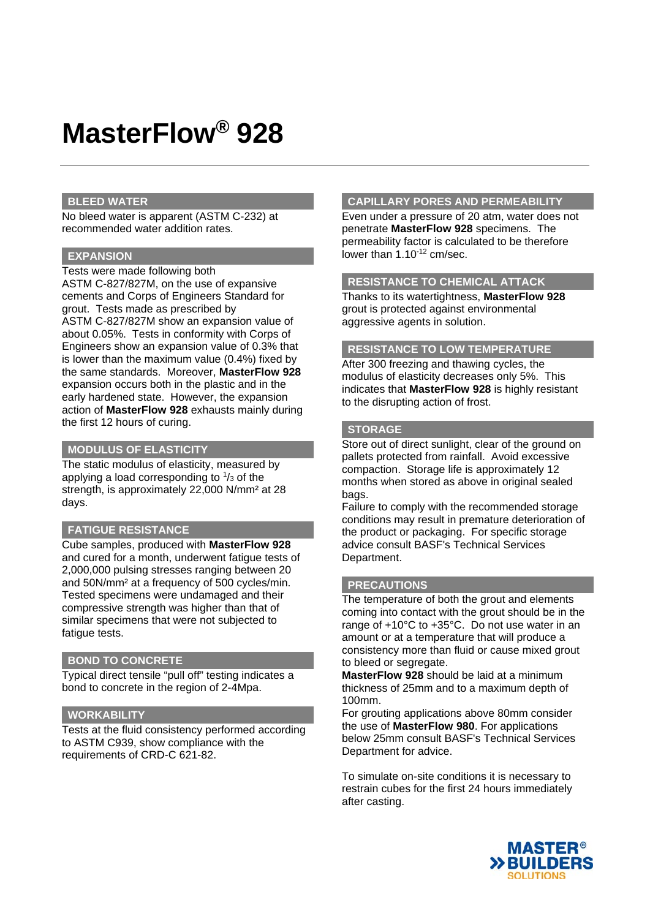#### **BLEED WATER**

No bleed water is apparent (ASTM C-232) at recommended water addition rates.

#### **EXPANSION**

Tests were made following both ASTM C-827/827M, on the use of expansive cements and Corps of Engineers Standard for grout. Tests made as prescribed by ASTM C-827/827M show an expansion value of about 0.05%. Tests in conformity with Corps of Engineers show an expansion value of 0.3% that is lower than the maximum value (0.4%) fixed by the same standards. Moreover, **MasterFlow 928**  expansion occurs both in the plastic and in the early hardened state. However, the expansion action of **MasterFlow 928** exhausts mainly during the first 12 hours of curing.

## **MODULUS OF ELASTICITY**

The static modulus of elasticity, measured by applying a load corresponding to  $\frac{1}{3}$  of the strength, is approximately 22,000 N/mm² at 28 days.

#### **FATIGUE RESISTANCE**

Cube samples, produced with **MasterFlow 928**  and cured for a month, underwent fatigue tests of 2,000,000 pulsing stresses ranging between 20 and 50N/mm² at a frequency of 500 cycles/min. Tested specimens were undamaged and their compressive strength was higher than that of similar specimens that were not subjected to fatigue tests.

#### **BOND TO CONCRETE**

Typical direct tensile "pull off" testing indicates a bond to concrete in the region of 2-4Mpa.

#### **WORKABILITY**

Tests at the fluid consistency performed according to ASTM C939, show compliance with the requirements of CRD-C 621-82.

#### **CAPILLARY PORES AND PERMEABILITY**

Even under a pressure of 20 atm, water does not penetrate **MasterFlow 928** specimens. The permeability factor is calculated to be therefore lower than 1.10<sup>-12</sup> cm/sec.

## **RESISTANCE TO CHEMICAL ATTACK**

Thanks to its watertightness, **MasterFlow 928**  grout is protected against environmental aggressive agents in solution.

#### **RESISTANCE TO LOW TEMPERATURE**

After 300 freezing and thawing cycles, the modulus of elasticity decreases only 5%. This indicates that **MasterFlow 928** is highly resistant to the disrupting action of frost.

## **STORAGE**

Store out of direct sunlight, clear of the ground on pallets protected from rainfall. Avoid excessive compaction. Storage life is approximately 12 months when stored as above in original sealed bags.

Failure to comply with the recommended storage conditions may result in premature deterioration of the product or packaging. For specific storage advice consult BASF's Technical Services Department.

#### **PRECAUTIONS**

The temperature of both the grout and elements coming into contact with the grout should be in the range of +10°C to +35°C. Do not use water in an amount or at a temperature that will produce a consistency more than fluid or cause mixed grout to bleed or segregate.

**MasterFlow 928** should be laid at a minimum thickness of 25mm and to a maximum depth of 100mm.

For grouting applications above 80mm consider the use of **MasterFlow 980**. For applications below 25mm consult BASF's Technical Services Department for advice.

To simulate on-site conditions it is necessary to restrain cubes for the first 24 hours immediately after casting.